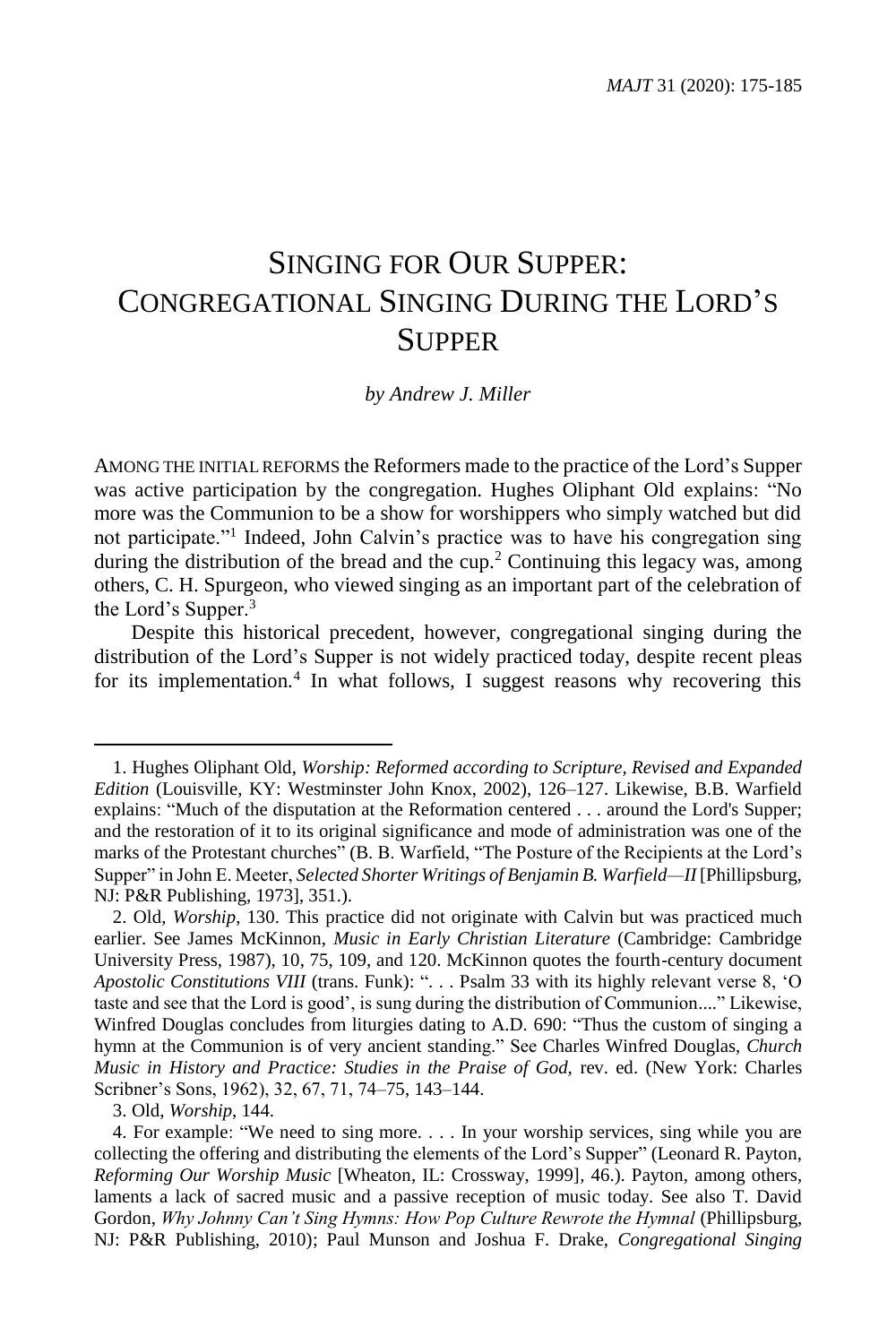# SINGING FOR OUR SUPPER: CONGREGATIONAL SINGING DURING THE LORD'S **SUPPER**

*by Andrew J. Miller*

AMONG THE INITIAL REFORMS the Reformers made to the practice of the Lord's Supper was active participation by the congregation. Hughes Oliphant Old explains: "No more was the Communion to be a show for worshippers who simply watched but did not participate."<sup>1</sup> Indeed, John Calvin's practice was to have his congregation sing during the distribution of the bread and the cup.<sup>2</sup> Continuing this legacy was, among others, C. H. Spurgeon, who viewed singing as an important part of the celebration of the Lord's Supper.<sup>3</sup>

Despite this historical precedent, however, congregational singing during the distribution of the Lord's Supper is not widely practiced today, despite recent pleas for its implementation.<sup>4</sup> In what follows, I suggest reasons why recovering this

<sup>1.</sup> Hughes Oliphant Old, *Worship: Reformed according to Scripture, Revised and Expanded Edition* (Louisville, KY: Westminster John Knox, 2002), 126–127. Likewise, B.B. Warfield explains: "Much of the disputation at the Reformation centered . . . around the Lord's Supper; and the restoration of it to its original significance and mode of administration was one of the marks of the Protestant churches" (B. B. Warfield, "The Posture of the Recipients at the Lord's Supper" in John E. Meeter, *Selected Shorter Writings of Benjamin B. Warfield—II* [Phillipsburg, NJ: P&R Publishing, 1973], 351.).

<sup>2.</sup> Old, *Worship*, 130. This practice did not originate with Calvin but was practiced much earlier. See James McKinnon, *Music in Early Christian Literature* (Cambridge: Cambridge University Press, 1987), 10, 75, 109, and 120. McKinnon quotes the fourth-century document *Apostolic Constitutions VIII* (trans. Funk): ". . . Psalm 33 with its highly relevant verse 8, 'O taste and see that the Lord is good', is sung during the distribution of Communion...." Likewise, Winfred Douglas concludes from liturgies dating to A.D. 690: "Thus the custom of singing a hymn at the Communion is of very ancient standing." See Charles Winfred Douglas, *Church Music in History and Practice: Studies in the Praise of God,* rev. ed. (New York: Charles Scribner's Sons, 1962), 32, 67, 71, 74–75, 143–144.

<sup>3.</sup> Old, *Worship*, 144.

<sup>4.</sup> For example: "We need to sing more. . . . In your worship services, sing while you are collecting the offering and distributing the elements of the Lord's Supper" (Leonard R. Payton, *Reforming Our Worship Music* [Wheaton, IL: Crossway, 1999]*,* 46.). Payton, among others, laments a lack of sacred music and a passive reception of music today. See also T. David Gordon, Why Johnny Can't Sing Hymns: How Pop Culture Rewrote the Hymnal (Phillipsburg, NJ: P&R Publishing, 2010); Paul Munson and Joshua F. Drake, *Congregational Singing*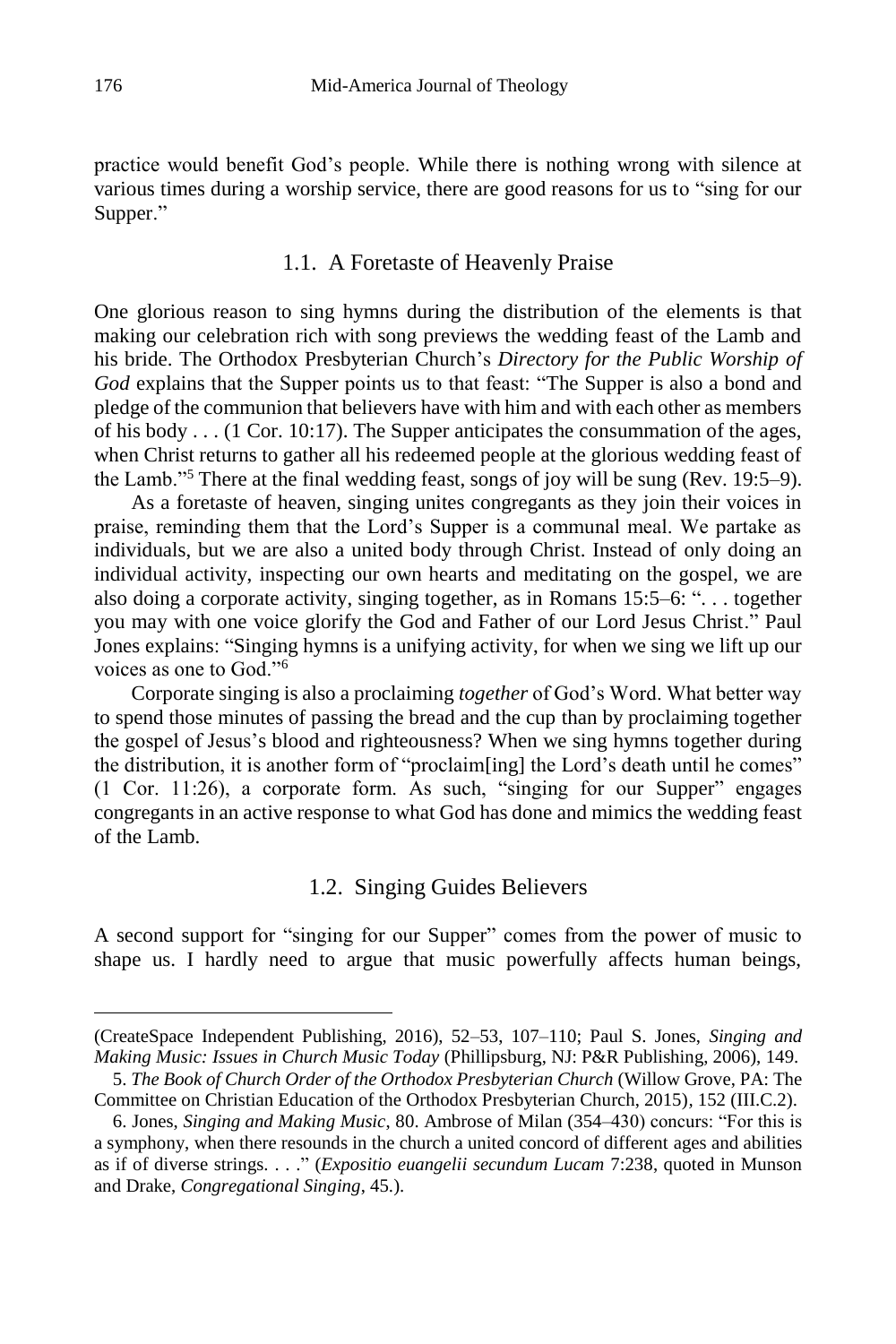practice would benefit God's people. While there is nothing wrong with silence at various times during a worship service, there are good reasons for us to "sing for our Supper."

#### 1.1. A Foretaste of Heavenly Praise

One glorious reason to sing hymns during the distribution of the elements is that making our celebration rich with song previews the wedding feast of the Lamb and his bride. The Orthodox Presbyterian Church's *Directory for the Public Worship of God* explains that the Supper points us to that feast: "The Supper is also a bond and pledge of the communion that believers have with him and with each other as members of his body . . . (1 Cor. 10:17). The Supper anticipates the consummation of the ages, when Christ returns to gather all his redeemed people at the glorious wedding feast of the Lamb."<sup>5</sup> There at the final wedding feast, songs of joy will be sung (Rev. 19:5–9).

As a foretaste of heaven, singing unites congregants as they join their voices in praise, reminding them that the Lord's Supper is a communal meal. We partake as individuals, but we are also a united body through Christ. Instead of only doing an individual activity, inspecting our own hearts and meditating on the gospel, we are also doing a corporate activity, singing together, as in Romans 15:5–6: ". . . together you may with one voice glorify the God and Father of our Lord Jesus Christ." Paul Jones explains: "Singing hymns is a unifying activity, for when we sing we lift up our voices as one to God."<sup>6</sup>

Corporate singing is also a proclaiming *together* of God's Word. What better way to spend those minutes of passing the bread and the cup than by proclaiming together the gospel of Jesus's blood and righteousness? When we sing hymns together during the distribution, it is another form of "proclaim[ing] the Lord's death until he comes" (1 Cor. 11:26), a corporate form. As such, "singing for our Supper" engages congregants in an active response to what God has done and mimics the wedding feast of the Lamb.

# 1.2. Singing Guides Believers

A second support for "singing for our Supper" comes from the power of music to shape us. I hardly need to argue that music powerfully affects human beings,

<sup>(</sup>CreateSpace Independent Publishing, 2016), 52–53, 107–110; Paul S. Jones, *Singing and Making Music: Issues in Church Music Today* (Phillipsburg, NJ: P&R Publishing, 2006), 149.

<sup>5.</sup> *The Book of Church Order of the Orthodox Presbyterian Church* (Willow Grove, PA: The Committee on Christian Education of the Orthodox Presbyterian Church, 2015)*,* 152 (III.C.2).

<sup>6.</sup> Jones, *Singing and Making Music*, 80. Ambrose of Milan (354–430) concurs: "For this is a symphony, when there resounds in the church a united concord of different ages and abilities as if of diverse strings. . . ." (*Expositio euangelii secundum Lucam* 7:238, quoted in Munson and Drake, *Congregational Singing*, 45.).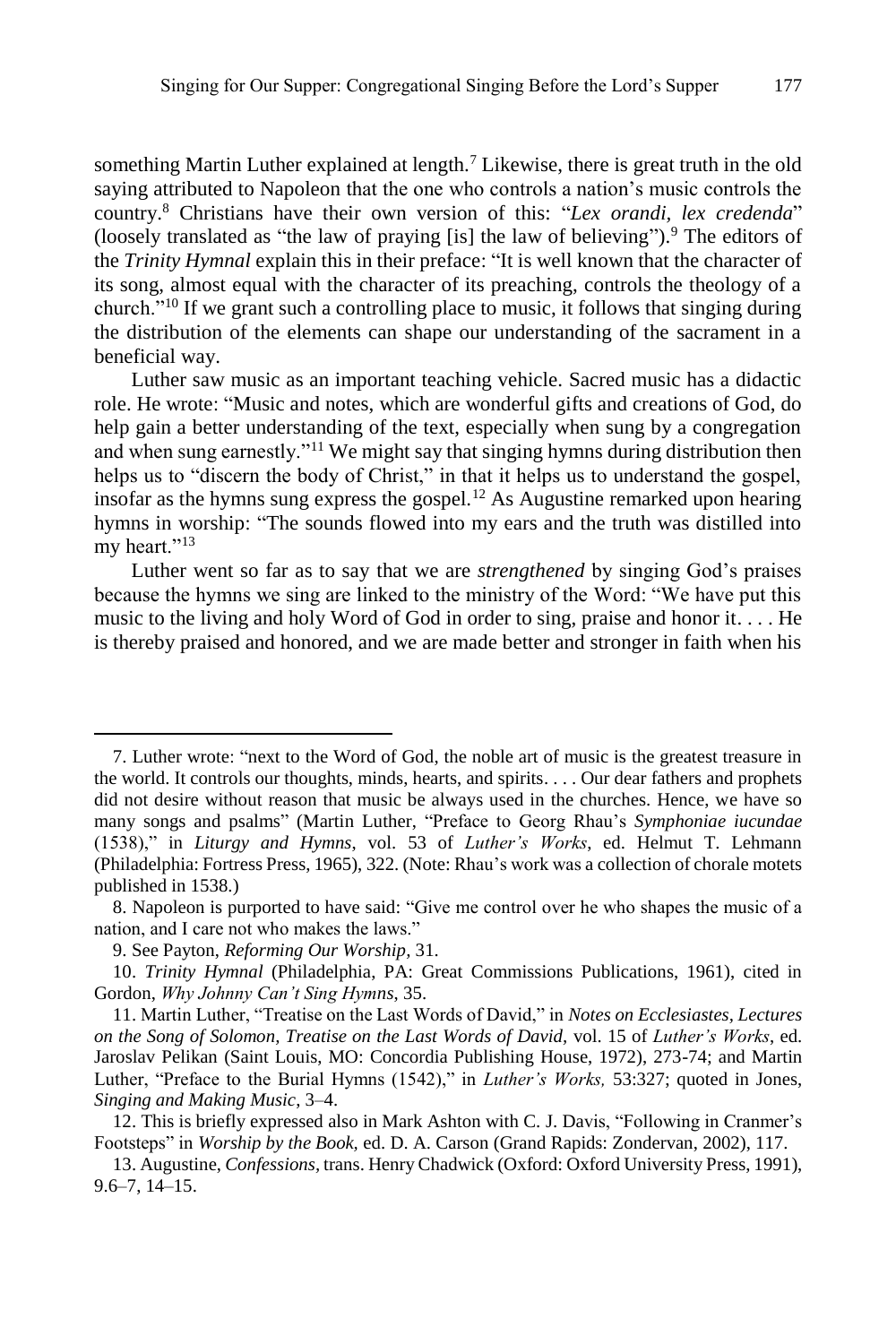something Martin Luther explained at length.<sup>7</sup> Likewise, there is great truth in the old saying attributed to Napoleon that the one who controls a nation's music controls the country.<sup>8</sup> Christians have their own version of this: "*Lex orandi, lex credenda*" (loosely translated as "the law of praying [is] the law of believing"). <sup>9</sup> The editors of the *Trinity Hymnal* explain this in their preface: "It is well known that the character of its song, almost equal with the character of its preaching, controls the theology of a church."<sup>10</sup> If we grant such a controlling place to music, it follows that singing during the distribution of the elements can shape our understanding of the sacrament in a beneficial way.

Luther saw music as an important teaching vehicle. Sacred music has a didactic role. He wrote: "Music and notes, which are wonderful gifts and creations of God, do help gain a better understanding of the text, especially when sung by a congregation and when sung earnestly."<sup>11</sup> We might say that singing hymns during distribution then helps us to "discern the body of Christ," in that it helps us to understand the gospel, insofar as the hymns sung express the gospel.<sup>12</sup> As Augustine remarked upon hearing hymns in worship: "The sounds flowed into my ears and the truth was distilled into my heart."<sup>13</sup>

Luther went so far as to say that we are *strengthened* by singing God's praises because the hymns we sing are linked to the ministry of the Word: "We have put this music to the living and holy Word of God in order to sing, praise and honor it. . . . He is thereby praised and honored, and we are made better and stronger in faith when his

<sup>7.</sup> Luther wrote: "next to the Word of God, the noble art of music is the greatest treasure in the world. It controls our thoughts, minds, hearts, and spirits. . . . Our dear fathers and prophets did not desire without reason that music be always used in the churches. Hence, we have so many songs and psalms" (Martin Luther, "Preface to Georg Rhau's *Symphoniae iucundae* (1538)," in *Liturgy and Hymns*, vol. 53 of *Luther's Works*, ed. Helmut T. Lehmann (Philadelphia: Fortress Press, 1965), 322. (Note: Rhau's work was a collection of chorale motets published in 1538.)

<sup>8.</sup> Napoleon is purported to have said: "Give me control over he who shapes the music of a nation, and I care not who makes the laws."

<sup>9.</sup> See Payton, *Reforming Our Worship,* 31.

<sup>10.</sup> *Trinity Hymnal* (Philadelphia, PA: Great Commissions Publications, 1961), cited in Gordon, *Why Johnny Can't Sing Hymns*, 35.

<sup>11.</sup> Martin Luther, "Treatise on the Last Words of David," in *Notes on Ecclesiastes, Lectures on the Song of Solomon, Treatise on the Last Words of David,* vol. 15 of *Luther's Works*, ed. Jaroslav Pelikan (Saint Louis, MO: Concordia Publishing House, 1972), 273-74; and Martin Luther, "Preface to the Burial Hymns (1542)," in *Luther's Works,* 53:327; quoted in Jones, *Singing and Making Music*, 3–4.

<sup>12.</sup> This is briefly expressed also in Mark Ashton with C. J. Davis, "Following in Cranmer's Footsteps" in *Worship by the Book,* ed. D. A. Carson (Grand Rapids: Zondervan, 2002), 117.

<sup>13.</sup> Augustine, *Confessions,* trans. Henry Chadwick (Oxford: Oxford University Press, 1991), 9.6–7, 14–15.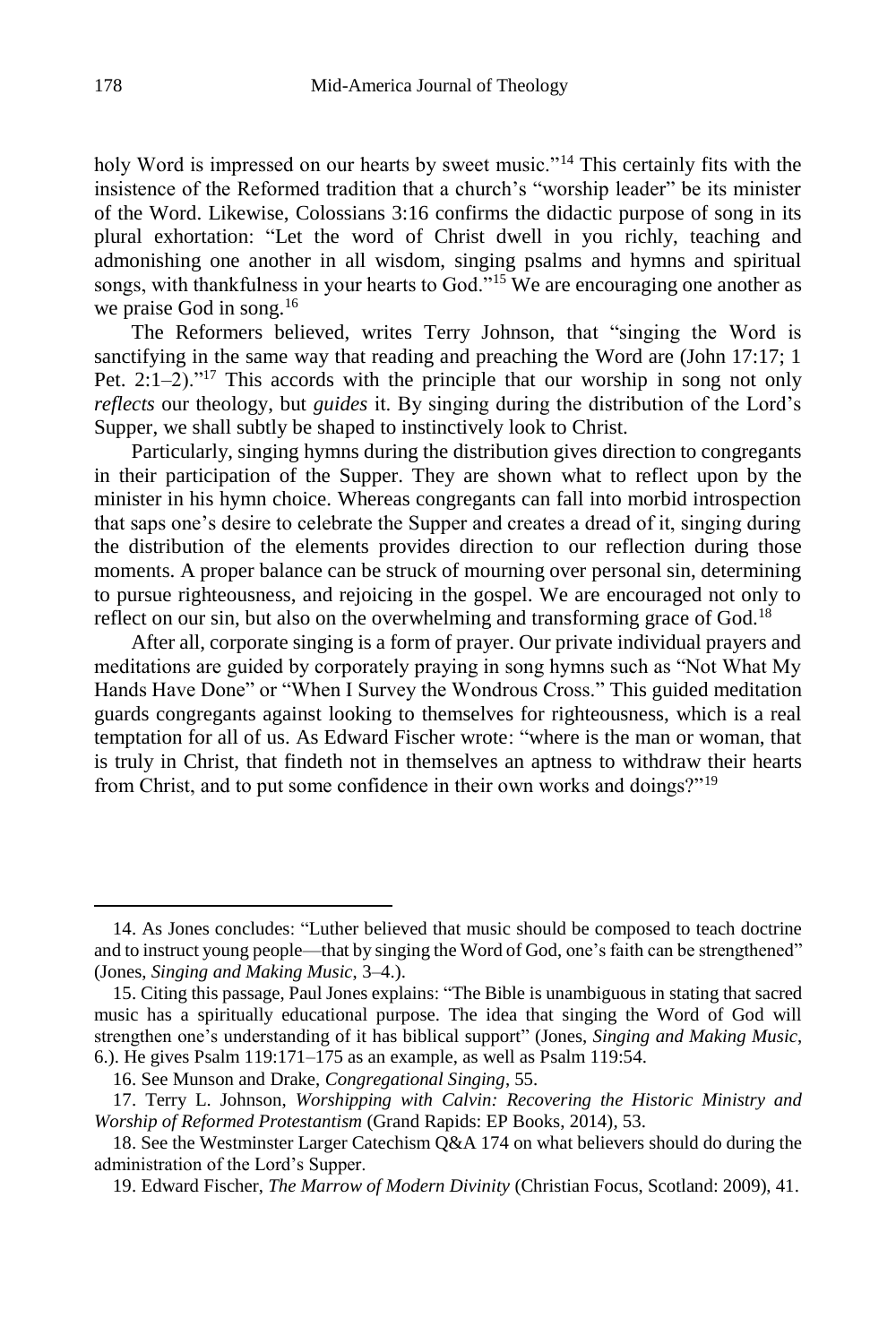holy Word is impressed on our hearts by sweet music."<sup>14</sup> This certainly fits with the insistence of the Reformed tradition that a church's "worship leader" be its minister of the Word. Likewise, Colossians 3:16 confirms the didactic purpose of song in its plural exhortation: "Let the word of Christ dwell in you richly, teaching and admonishing one another in all wisdom, singing psalms and hymns and spiritual songs, with thankfulness in your hearts to God."<sup>15</sup> We are encouraging one another as we praise God in song.<sup>16</sup>

The Reformers believed, writes Terry Johnson, that "singing the Word is sanctifying in the same way that reading and preaching the Word are (John 17:17; 1 Pet.  $2:1-2$ )."<sup>17</sup> This accords with the principle that our worship in song not only *reflects* our theology, but *guides* it. By singing during the distribution of the Lord's Supper, we shall subtly be shaped to instinctively look to Christ.

Particularly, singing hymns during the distribution gives direction to congregants in their participation of the Supper. They are shown what to reflect upon by the minister in his hymn choice. Whereas congregants can fall into morbid introspection that saps one's desire to celebrate the Supper and creates a dread of it, singing during the distribution of the elements provides direction to our reflection during those moments. A proper balance can be struck of mourning over personal sin, determining to pursue righteousness, and rejoicing in the gospel. We are encouraged not only to reflect on our sin, but also on the overwhelming and transforming grace of God.<sup>18</sup>

After all, corporate singing is a form of prayer. Our private individual prayers and meditations are guided by corporately praying in song hymns such as "Not What My Hands Have Done" or "When I Survey the Wondrous Cross." This guided meditation guards congregants against looking to themselves for righteousness, which is a real temptation for all of us. As Edward Fischer wrote: "where is the man or woman, that is truly in Christ, that findeth not in themselves an aptness to withdraw their hearts from Christ, and to put some confidence in their own works and doings?"<sup>19</sup>

<sup>14.</sup> As Jones concludes: "Luther believed that music should be composed to teach doctrine and to instruct young people—that by singing the Word of God, one's faith can be strengthened" (Jones, *Singing and Making Music*, 3–4.).

<sup>15.</sup> Citing this passage, Paul Jones explains: "The Bible is unambiguous in stating that sacred music has a spiritually educational purpose. The idea that singing the Word of God will strengthen one's understanding of it has biblical support" (Jones, *Singing and Making Music*, 6.). He gives Psalm 119:171–175 as an example, as well as Psalm 119:54.

<sup>16.</sup> See Munson and Drake, *Congregational Singing*, 55.

<sup>17.</sup> Terry L. Johnson, *Worshipping with Calvin: Recovering the Historic Ministry and Worship of Reformed Protestantism* (Grand Rapids: EP Books, 2014)*,* 53.

<sup>18.</sup> See the Westminster Larger Catechism Q&A 174 on what believers should do during the administration of the Lord's Supper.

<sup>19.</sup> Edward Fischer, *The Marrow of Modern Divinity* (Christian Focus, Scotland: 2009), 41.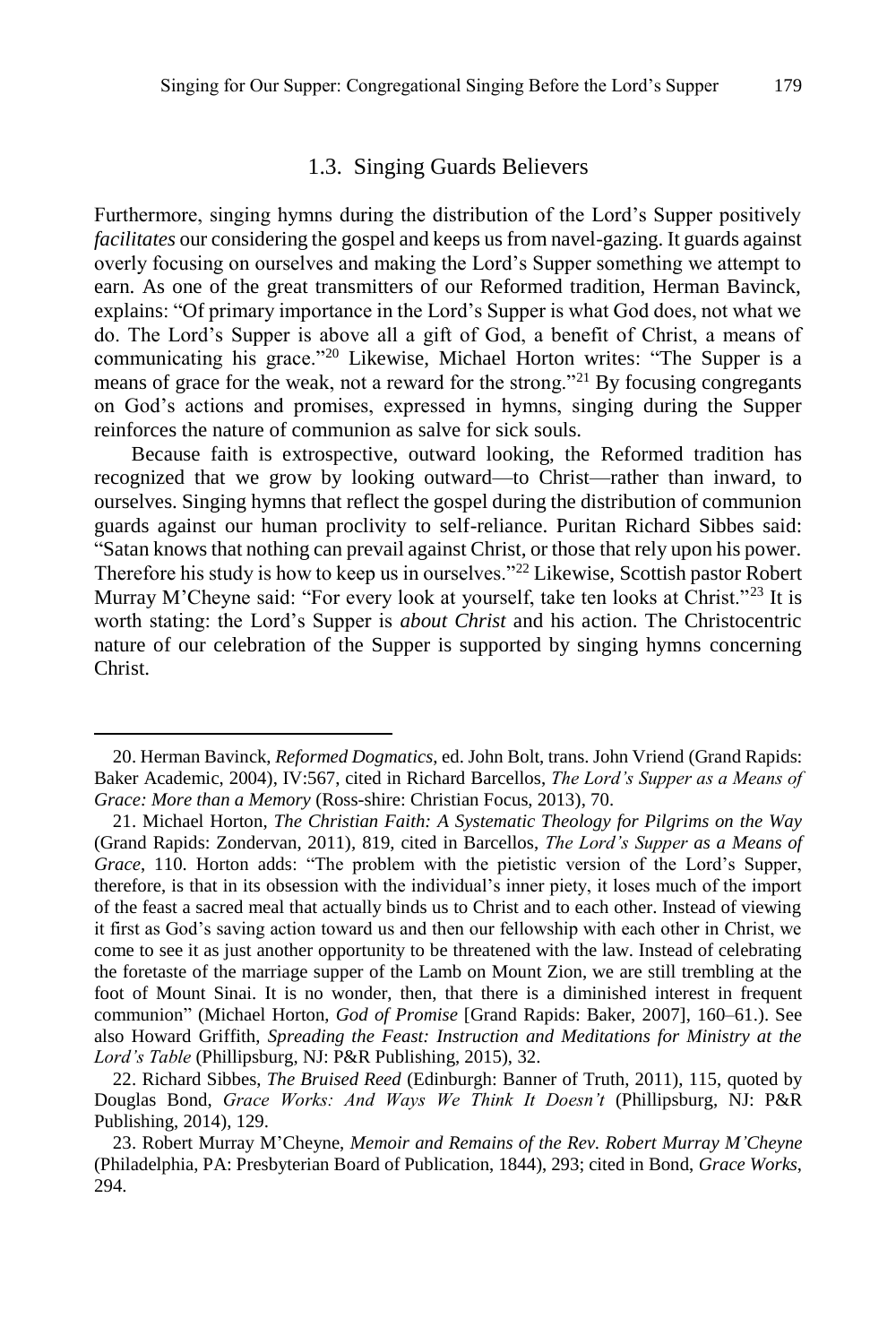#### 1.3. Singing Guards Believers

Furthermore, singing hymns during the distribution of the Lord's Supper positively *facilitates* our considering the gospel and keeps us from navel-gazing. It guards against overly focusing on ourselves and making the Lord's Supper something we attempt to earn. As one of the great transmitters of our Reformed tradition, Herman Bavinck, explains: "Of primary importance in the Lord's Supper is what God does, not what we do. The Lord's Supper is above all a gift of God, a benefit of Christ, a means of communicating his grace."<sup>20</sup> Likewise, Michael Horton writes: "The Supper is a means of grace for the weak, not a reward for the strong."<sup>21</sup> By focusing congregants on God's actions and promises, expressed in hymns, singing during the Supper reinforces the nature of communion as salve for sick souls.

Because faith is extrospective, outward looking, the Reformed tradition has recognized that we grow by looking outward—to Christ—rather than inward, to ourselves. Singing hymns that reflect the gospel during the distribution of communion guards against our human proclivity to self-reliance. Puritan Richard Sibbes said: "Satan knows that nothing can prevail against Christ, or those that rely upon his power. Therefore his study is how to keep us in ourselves."<sup>22</sup> Likewise, Scottish pastor Robert Murray M'Cheyne said: "For every look at yourself, take ten looks at Christ."<sup>23</sup> It is worth stating: the Lord's Supper is *about Christ* and his action. The Christocentric nature of our celebration of the Supper is supported by singing hymns concerning Christ.

<sup>20.</sup> Herman Bavinck, *Reformed Dogmatics*, ed. John Bolt, trans. John Vriend (Grand Rapids: Baker Academic, 2004), IV:567, cited in Richard Barcellos, *The Lord's Supper as a Means of Grace: More than a Memory* (Ross-shire: Christian Focus, 2013), 70.

<sup>21.</sup> Michael Horton, *The Christian Faith: A Systematic Theology for Pilgrims on the Way*  (Grand Rapids: Zondervan, 2011)*,* 819, cited in Barcellos, *The Lord's Supper as a Means of Grace*, 110. Horton adds: "The problem with the pietistic version of the Lord's Supper, therefore, is that in its obsession with the individual's inner piety, it loses much of the import of the feast a sacred meal that actually binds us to Christ and to each other. Instead of viewing it first as God's saving action toward us and then our fellowship with each other in Christ, we come to see it as just another opportunity to be threatened with the law. Instead of celebrating the foretaste of the marriage supper of the Lamb on Mount Zion, we are still trembling at the foot of Mount Sinai. It is no wonder, then, that there is a diminished interest in frequent communion" (Michael Horton, *God of Promise* [Grand Rapids: Baker, 2007], 160–61.). See also Howard Griffith, *Spreading the Feast: Instruction and Meditations for Ministry at the Lord's Table* (Phillipsburg, NJ: P&R Publishing, 2015), 32.

<sup>22.</sup> Richard Sibbes, *The Bruised Reed* (Edinburgh: Banner of Truth, 2011), 115, quoted by Douglas Bond, *Grace Works: And Ways We Think It Doesn't* (Phillipsburg, NJ: P&R Publishing, 2014), 129.

<sup>23.</sup> Robert Murray M'Cheyne, *Memoir and Remains of the Rev. Robert Murray M'Cheyne*  (Philadelphia, PA: Presbyterian Board of Publication, 1844), 293; cited in Bond, *Grace Works*, 294.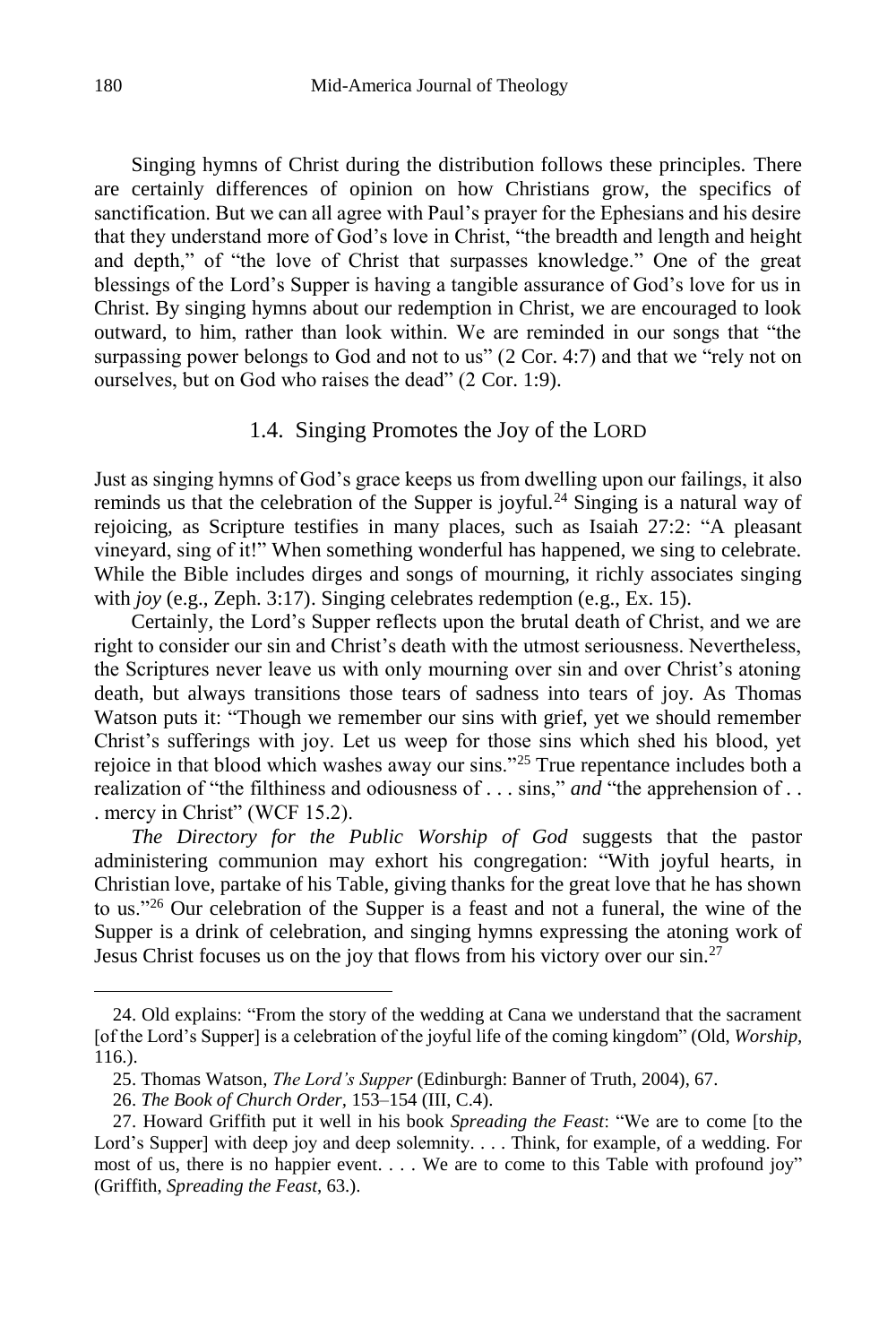Singing hymns of Christ during the distribution follows these principles. There are certainly differences of opinion on how Christians grow, the specifics of sanctification. But we can all agree with Paul's prayer for the Ephesians and his desire that they understand more of God's love in Christ, "the breadth and length and height and depth," of "the love of Christ that surpasses knowledge." One of the great blessings of the Lord's Supper is having a tangible assurance of God's love for us in Christ. By singing hymns about our redemption in Christ, we are encouraged to look outward, to him, rather than look within. We are reminded in our songs that "the surpassing power belongs to God and not to us" (2 Cor. 4:7) and that we "rely not on ourselves, but on God who raises the dead" (2 Cor. 1:9).

#### 1.4. Singing Promotes the Joy of the LORD

Just as singing hymns of God's grace keeps us from dwelling upon our failings, it also reminds us that the celebration of the Supper is joyful.<sup>24</sup> Singing is a natural way of rejoicing, as Scripture testifies in many places, such as Isaiah 27:2: "A pleasant vineyard, sing of it!" When something wonderful has happened, we sing to celebrate. While the Bible includes dirges and songs of mourning, it richly associates singing with *joy* (e.g., Zeph. 3:17). Singing celebrates redemption (e.g., Ex. 15).

Certainly, the Lord's Supper reflects upon the brutal death of Christ, and we are right to consider our sin and Christ's death with the utmost seriousness. Nevertheless, the Scriptures never leave us with only mourning over sin and over Christ's atoning death, but always transitions those tears of sadness into tears of joy. As Thomas Watson puts it: "Though we remember our sins with grief, yet we should remember Christ's sufferings with joy. Let us weep for those sins which shed his blood, yet rejoice in that blood which washes away our sins."<sup>25</sup> True repentance includes both a realization of "the filthiness and odiousness of . . . sins," *and* "the apprehension of . . . mercy in Christ" (WCF 15.2).

*The Directory for the Public Worship of God* suggests that the pastor administering communion may exhort his congregation: "With joyful hearts, in Christian love, partake of his Table, giving thanks for the great love that he has shown to us."<sup>26</sup> Our celebration of the Supper is a feast and not a funeral, the wine of the Supper is a drink of celebration, and singing hymns expressing the atoning work of Jesus Christ focuses us on the joy that flows from his victory over our sin.<sup>27</sup>

<sup>24.</sup> Old explains: "From the story of the wedding at Cana we understand that the sacrament [of the Lord's Supper] is a celebration of the joyful life of the coming kingdom" (Old, *Worship,*  116.).

<sup>25.</sup> Thomas Watson, *The Lord's Supper* (Edinburgh: Banner of Truth, 2004), 67.

<sup>26.</sup> *The Book of Church Order,* 153–154 (III, C.4).

<sup>27.</sup> Howard Griffith put it well in his book *Spreading the Feast*: "We are to come [to the Lord's Supper] with deep joy and deep solemnity. . . . Think, for example, of a wedding. For most of us, there is no happier event. . . . We are to come to this Table with profound joy" (Griffith, *Spreading the Feast*, 63.).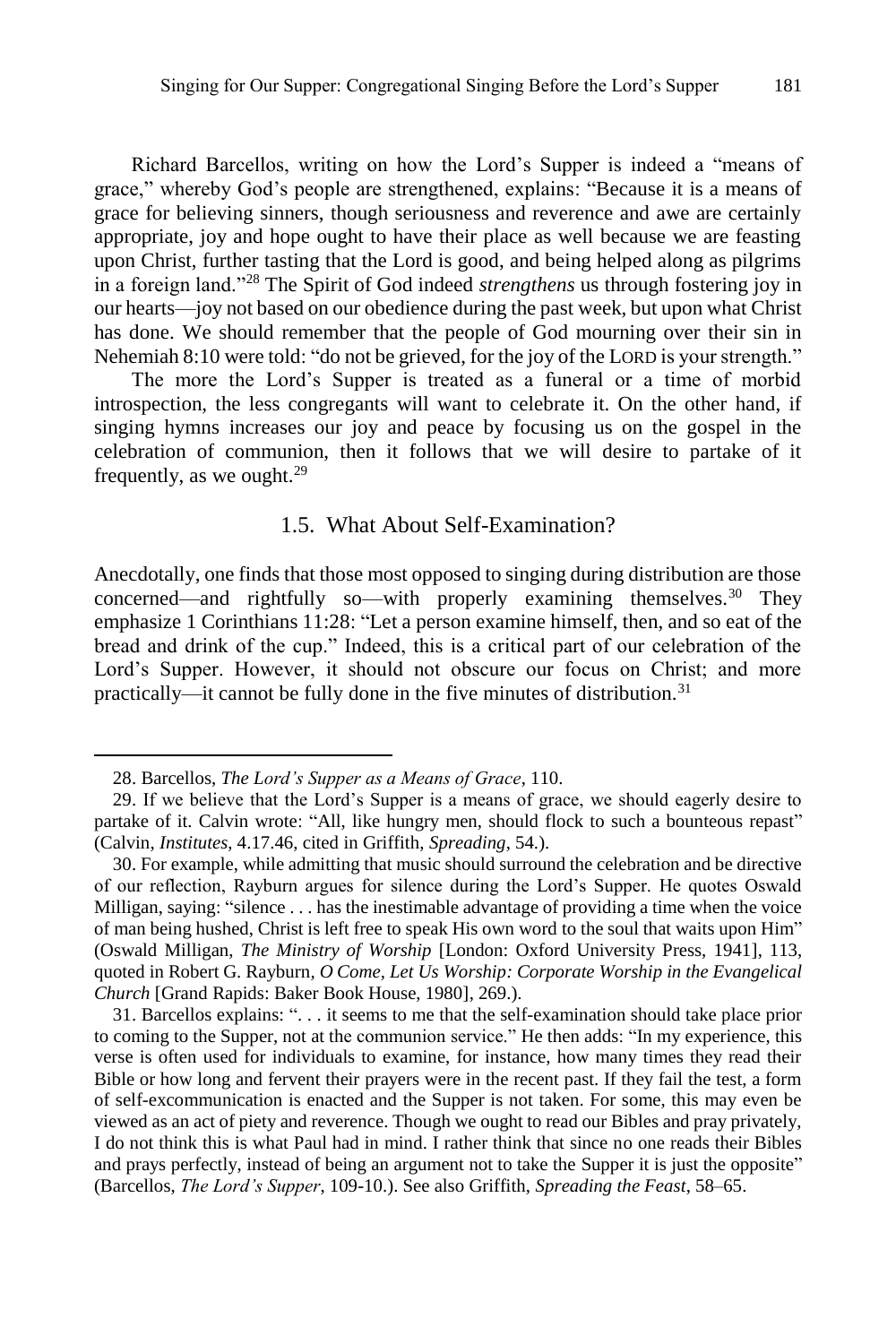Richard Barcellos, writing on how the Lord's Supper is indeed a "means of grace," whereby God's people are strengthened, explains: "Because it is a means of grace for believing sinners, though seriousness and reverence and awe are certainly appropriate, joy and hope ought to have their place as well because we are feasting upon Christ, further tasting that the Lord is good, and being helped along as pilgrims in a foreign land."<sup>28</sup> The Spirit of God indeed *strengthens* us through fostering joy in our hearts—joy not based on our obedience during the past week, but upon what Christ has done. We should remember that the people of God mourning over their sin in Nehemiah 8:10 were told: "do not be grieved, for the joy of the LORD is your strength."

The more the Lord's Supper is treated as a funeral or a time of morbid introspection, the less congregants will want to celebrate it. On the other hand, if singing hymns increases our joy and peace by focusing us on the gospel in the celebration of communion, then it follows that we will desire to partake of it frequently, as we ought. $29$ 

## 1.5. What About Self-Examination?

Anecdotally, one finds that those most opposed to singing during distribution are those concerned—and rightfully so—with properly examining themselves.<sup>30</sup> They emphasize 1 Corinthians 11:28: "Let a person examine himself, then, and so eat of the bread and drink of the cup." Indeed, this is a critical part of our celebration of the Lord's Supper. However, it should not obscure our focus on Christ; and more practically—it cannot be fully done in the five minutes of distribution.<sup>31</sup>

<sup>28.</sup> Barcellos, *The Lord's Supper as a Means of Grace*, 110.

<sup>29.</sup> If we believe that the Lord's Supper is a means of grace, we should eagerly desire to partake of it. Calvin wrote: "All, like hungry men, should flock to such a bounteous repast" (Calvin, *Institutes*, 4.17.46, cited in Griffith, *Spreading*, 54.).

<sup>30.</sup> For example, while admitting that music should surround the celebration and be directive of our reflection, Rayburn argues for silence during the Lord's Supper. He quotes Oswald Milligan, saying: "silence . . . has the inestimable advantage of providing a time when the voice of man being hushed, Christ is left free to speak His own word to the soul that waits upon Him" (Oswald Milligan, *The Ministry of Worship* [London: Oxford University Press, 1941], 113, quoted in Robert G. Rayburn*, O Come, Let Us Worship: Corporate Worship in the Evangelical Church* [Grand Rapids: Baker Book House, 1980], 269.).

<sup>31.</sup> Barcellos explains: ". . . it seems to me that the self-examination should take place prior to coming to the Supper, not at the communion service." He then adds: "In my experience, this verse is often used for individuals to examine, for instance, how many times they read their Bible or how long and fervent their prayers were in the recent past. If they fail the test, a form of self-excommunication is enacted and the Supper is not taken. For some, this may even be viewed as an act of piety and reverence. Though we ought to read our Bibles and pray privately, I do not think this is what Paul had in mind. I rather think that since no one reads their Bibles and prays perfectly, instead of being an argument not to take the Supper it is just the opposite" (Barcellos, *The Lord's Supper*, 109-10.). See also Griffith, *Spreading the Feast*, 58–65.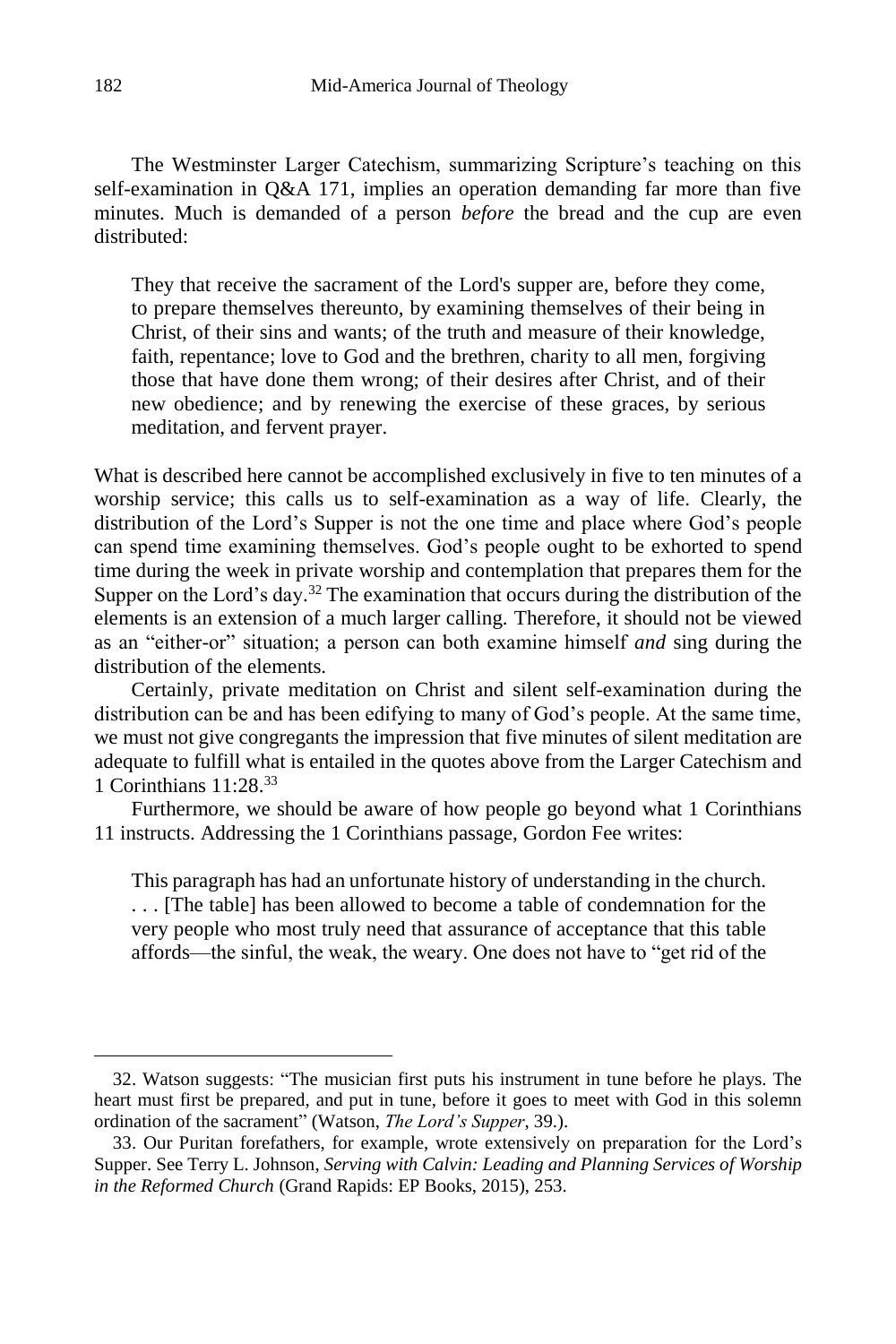The Westminster Larger Catechism, summarizing Scripture's teaching on this self-examination in Q&A 171, implies an operation demanding far more than five minutes. Much is demanded of a person *before* the bread and the cup are even distributed:

They that receive the sacrament of the Lord's supper are, before they come, to prepare themselves thereunto, by examining themselves of their being in Christ, of their sins and wants; of the truth and measure of their knowledge, faith, repentance; love to God and the brethren, charity to all men, forgiving those that have done them wrong; of their desires after Christ, and of their new obedience; and by renewing the exercise of these graces, by serious meditation, and fervent prayer.

What is described here cannot be accomplished exclusively in five to ten minutes of a worship service; this calls us to self-examination as a way of life. Clearly, the distribution of the Lord's Supper is not the one time and place where God's people can spend time examining themselves. God's people ought to be exhorted to spend time during the week in private worship and contemplation that prepares them for the Supper on the Lord's day.<sup>32</sup> The examination that occurs during the distribution of the elements is an extension of a much larger calling. Therefore, it should not be viewed as an "either-or" situation; a person can both examine himself *and* sing during the distribution of the elements.

Certainly, private meditation on Christ and silent self-examination during the distribution can be and has been edifying to many of God's people. At the same time, we must not give congregants the impression that five minutes of silent meditation are adequate to fulfill what is entailed in the quotes above from the Larger Catechism and 1 Corinthians  $11.28$ <sup>33</sup>

Furthermore, we should be aware of how people go beyond what 1 Corinthians 11 instructs. Addressing the 1 Corinthians passage, Gordon Fee writes:

This paragraph has had an unfortunate history of understanding in the church. . . . [The table] has been allowed to become a table of condemnation for the very people who most truly need that assurance of acceptance that this table affords—the sinful, the weak, the weary. One does not have to "get rid of the

<sup>32.</sup> Watson suggests: "The musician first puts his instrument in tune before he plays. The heart must first be prepared, and put in tune, before it goes to meet with God in this solemn ordination of the sacrament" (Watson, *The Lord's Supper*, 39.).

<sup>33.</sup> Our Puritan forefathers, for example, wrote extensively on preparation for the Lord's Supper. See Terry L. Johnson, *Serving with Calvin: Leading and Planning Services of Worship in the Reformed Church* (Grand Rapids: EP Books, 2015), 253.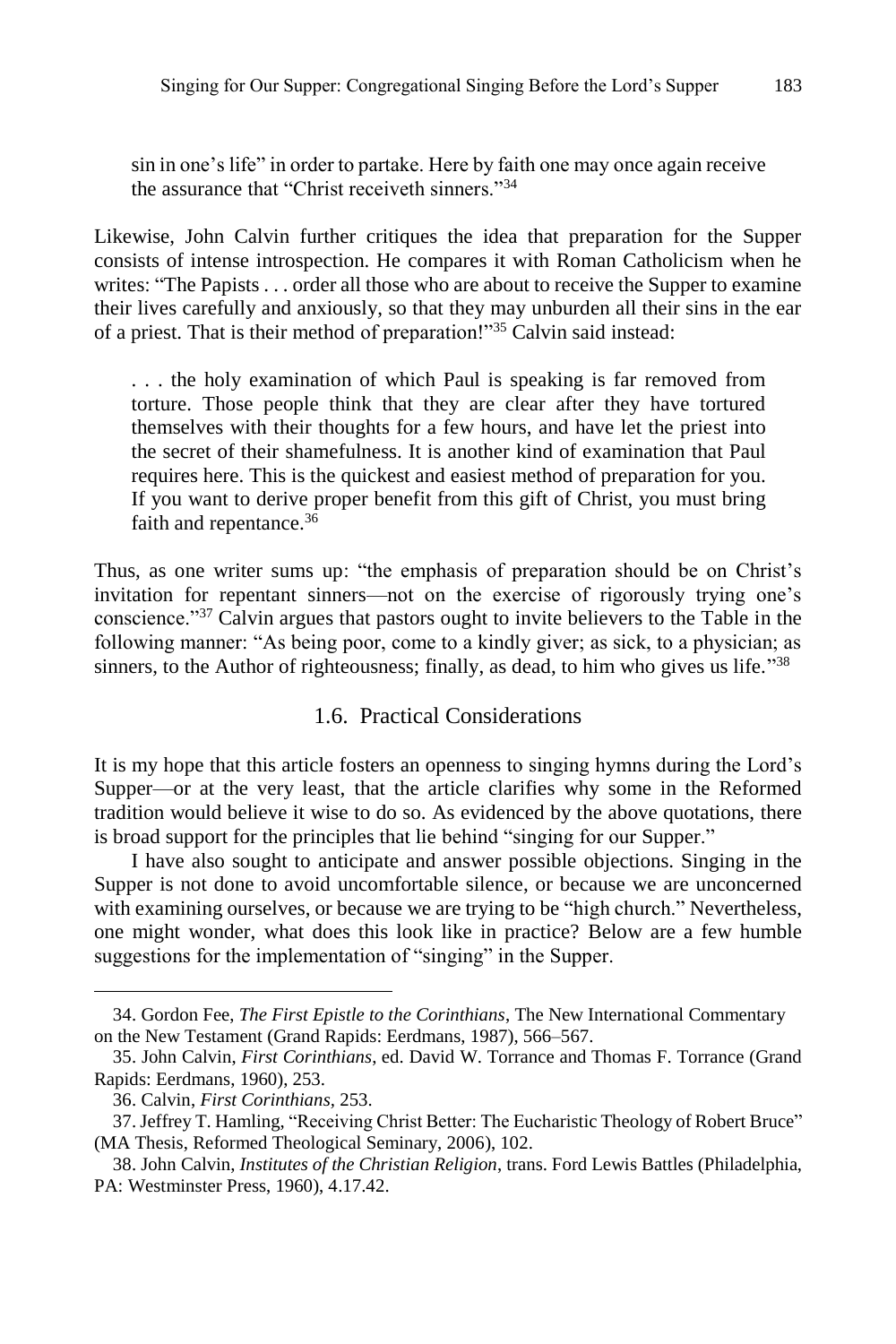sin in one's life" in order to partake. Here by faith one may once again receive the assurance that "Christ receiveth sinners."<sup>34</sup>

Likewise, John Calvin further critiques the idea that preparation for the Supper consists of intense introspection. He compares it with Roman Catholicism when he writes: "The Papists . . . order all those who are about to receive the Supper to examine their lives carefully and anxiously, so that they may unburden all their sins in the ear of a priest. That is their method of preparation!"<sup>35</sup> Calvin said instead:

. . . the holy examination of which Paul is speaking is far removed from torture. Those people think that they are clear after they have tortured themselves with their thoughts for a few hours, and have let the priest into the secret of their shamefulness. It is another kind of examination that Paul requires here. This is the quickest and easiest method of preparation for you. If you want to derive proper benefit from this gift of Christ, you must bring faith and repentance.<sup>36</sup>

Thus, as one writer sums up: "the emphasis of preparation should be on Christ's invitation for repentant sinners—not on the exercise of rigorously trying one's conscience."<sup>37</sup> Calvin argues that pastors ought to invite believers to the Table in the following manner: "As being poor, come to a kindly giver; as sick, to a physician; as sinners, to the Author of righteousness; finally, as dead, to him who gives us life."38

# 1.6. Practical Considerations

It is my hope that this article fosters an openness to singing hymns during the Lord's Supper—or at the very least, that the article clarifies why some in the Reformed tradition would believe it wise to do so. As evidenced by the above quotations, there is broad support for the principles that lie behind "singing for our Supper."

I have also sought to anticipate and answer possible objections. Singing in the Supper is not done to avoid uncomfortable silence, or because we are unconcerned with examining ourselves, or because we are trying to be "high church." Nevertheless, one might wonder, what does this look like in practice? Below are a few humble suggestions for the implementation of "singing" in the Supper.

<sup>34.</sup> Gordon Fee, *The First Epistle to the Corinthians*, The New International Commentary on the New Testament (Grand Rapids: Eerdmans, 1987), 566–567.

<sup>35.</sup> John Calvin, *First Corinthians*, ed. David W. Torrance and Thomas F. Torrance (Grand Rapids: Eerdmans, 1960), 253.

<sup>36.</sup> Calvin, *First Corinthians,* 253.

<sup>37.</sup> Jeffrey T. Hamling, "Receiving Christ Better: The Eucharistic Theology of Robert Bruce" (MA Thesis, Reformed Theological Seminary, 2006), 102.

<sup>38.</sup> John Calvin, *Institutes of the Christian Religion*, trans. Ford Lewis Battles (Philadelphia, PA: Westminster Press, 1960), 4.17.42.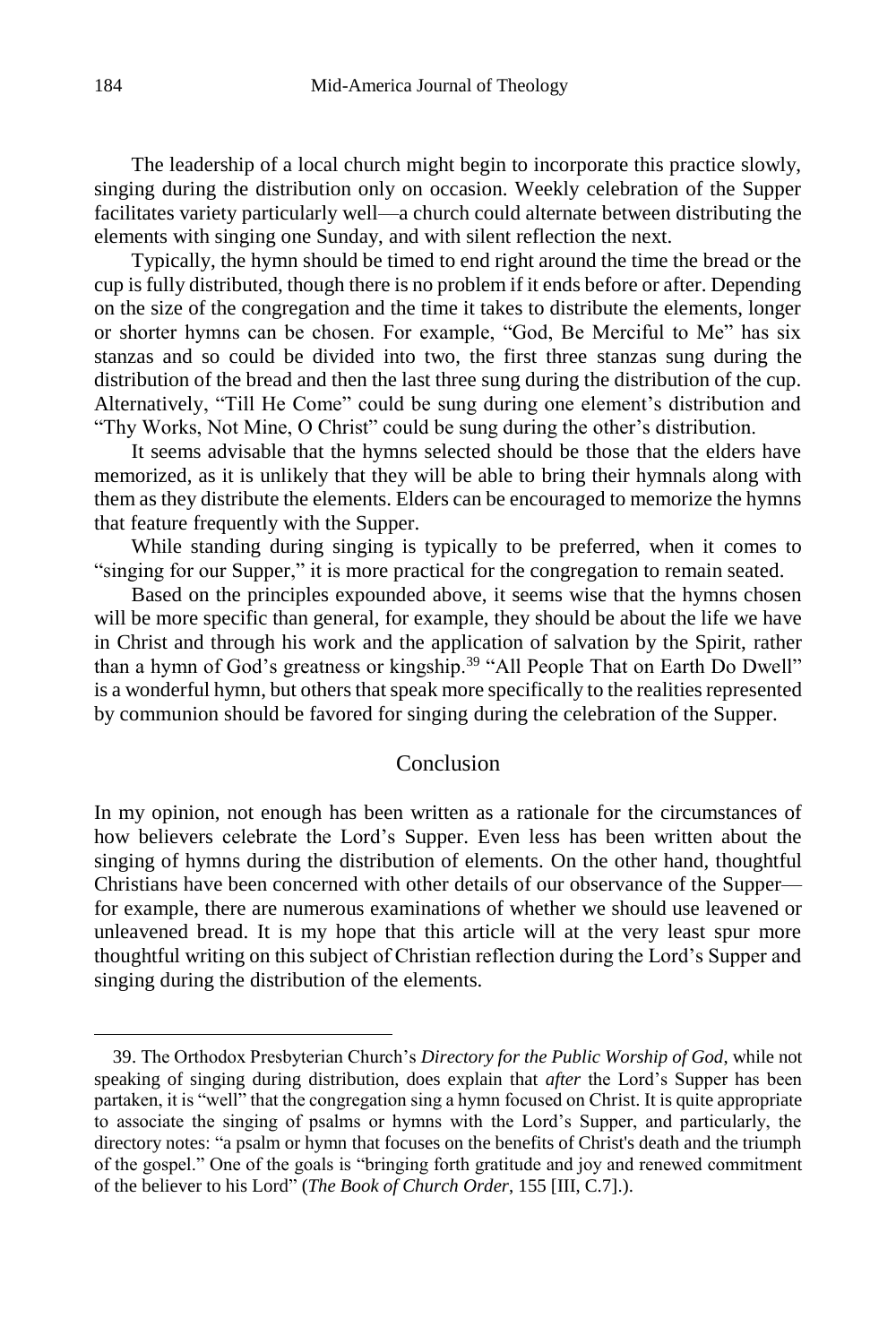The leadership of a local church might begin to incorporate this practice slowly, singing during the distribution only on occasion. Weekly celebration of the Supper facilitates variety particularly well—a church could alternate between distributing the elements with singing one Sunday, and with silent reflection the next.

Typically, the hymn should be timed to end right around the time the bread or the cup is fully distributed, though there is no problem if it ends before or after. Depending on the size of the congregation and the time it takes to distribute the elements, longer or shorter hymns can be chosen. For example, "God, Be Merciful to Me" has six stanzas and so could be divided into two, the first three stanzas sung during the distribution of the bread and then the last three sung during the distribution of the cup. Alternatively, "Till He Come" could be sung during one element's distribution and "Thy Works, Not Mine, O Christ" could be sung during the other's distribution.

It seems advisable that the hymns selected should be those that the elders have memorized, as it is unlikely that they will be able to bring their hymnals along with them as they distribute the elements. Elders can be encouraged to memorize the hymns that feature frequently with the Supper.

While standing during singing is typically to be preferred, when it comes to "singing for our Supper," it is more practical for the congregation to remain seated.

Based on the principles expounded above, it seems wise that the hymns chosen will be more specific than general, for example, they should be about the life we have in Christ and through his work and the application of salvation by the Spirit, rather than a hymn of God's greatness or kingship.<sup>39</sup> "All People That on Earth Do Dwell" is a wonderful hymn, but others that speak more specifically to the realities represented by communion should be favored for singing during the celebration of the Supper.

## Conclusion

In my opinion, not enough has been written as a rationale for the circumstances of how believers celebrate the Lord's Supper. Even less has been written about the singing of hymns during the distribution of elements. On the other hand, thoughtful Christians have been concerned with other details of our observance of the Supper for example, there are numerous examinations of whether we should use leavened or unleavened bread. It is my hope that this article will at the very least spur more thoughtful writing on this subject of Christian reflection during the Lord's Supper and singing during the distribution of the elements.

<sup>39.</sup> The Orthodox Presbyterian Church's *Directory for the Public Worship of God*, while not speaking of singing during distribution, does explain that *after* the Lord's Supper has been partaken, it is "well" that the congregation sing a hymn focused on Christ. It is quite appropriate to associate the singing of psalms or hymns with the Lord's Supper, and particularly, the directory notes: "a psalm or hymn that focuses on the benefits of Christ's death and the triumph of the gospel." One of the goals is "bringing forth gratitude and joy and renewed commitment of the believer to his Lord" (*The Book of Church Order*, 155 [III, C.7].).